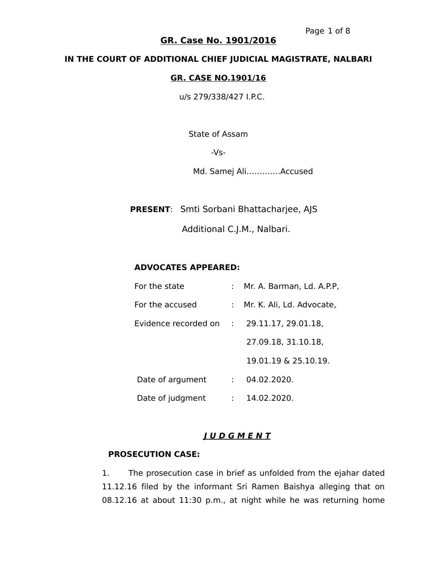#### **IN THE COURT OF ADDITIONAL CHIEF JUDICIAL MAGISTRATE, NALBARI**

#### **GR. CASE NO.1901/16**

u/s 279/338/427 I.P.C.

State of Assam

-Vs-

Md. Samej Ali………….Accused

 **PRESENT**: Smti Sorbani Bhattacharjee, AJS

Additional C.J.M., Nalbari.

#### **ADVOCATES APPEARED:**

| For the state          |   | : Mr. A. Barman, Ld. A.P.P, |
|------------------------|---|-----------------------------|
| For the accused        |   | : Mr. K. Ali, Ld. Advocate, |
| Evidence recorded on : |   | 29.11.17, 29.01.18,         |
|                        |   | 27.09.18, 31.10.18,         |
|                        |   | 19.01.19 & 25.10.19.        |
| Date of argument       |   | 04.02.2020.                 |
| Date of judgment       | ÷ | 14.02.2020.                 |

#### **J U D G M E N T**

#### **PROSECUTION CASE:**

1. The prosecution case in brief as unfolded from the ejahar dated 11.12.16 filed by the informant Sri Ramen Baishya alleging that on 08.12.16 at about 11:30 p.m., at night while he was returning home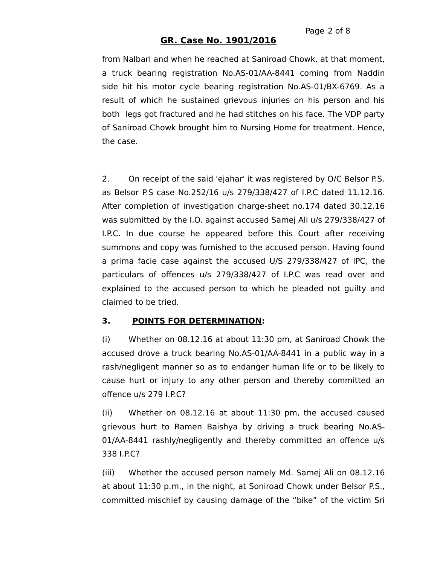from Nalbari and when he reached at Saniroad Chowk, at that moment, a truck bearing registration No.AS-01/AA-8441 coming from Naddin side hit his motor cycle bearing registration No.AS-01/BX-6769. As a result of which he sustained grievous injuries on his person and his both legs got fractured and he had stitches on his face. The VDP party of Saniroad Chowk brought him to Nursing Home for treatment. Hence, the case.

2. On receipt of the said 'ejahar' it was registered by O/C Belsor P.S. as Belsor P.S case No.252/16 u/s 279/338/427 of I.P.C dated 11.12.16. After completion of investigation charge-sheet no.174 dated 30.12.16 was submitted by the I.O. against accused Samej Ali u/s 279/338/427 of I.P.C. In due course he appeared before this Court after receiving summons and copy was furnished to the accused person. Having found a prima facie case against the accused U/S 279/338/427 of IPC, the particulars of offences u/s 279/338/427 of I.P.C was read over and explained to the accused person to which he pleaded not guilty and claimed to be tried.

### **3. POINTS FOR DETERMINATION:**

(i) Whether on 08.12.16 at about 11:30 pm, at Saniroad Chowk the accused drove a truck bearing No.AS-01/AA-8441 in a public way in a rash/negligent manner so as to endanger human life or to be likely to cause hurt or injury to any other person and thereby committed an offence u/s 279 I.P.C?

(ii) Whether on 08.12.16 at about 11:30 pm, the accused caused grievous hurt to Ramen Baishya by driving a truck bearing No.AS-01/AA-8441 rashly/negligently and thereby committed an offence u/s 338 I.P.C?

(iii) Whether the accused person namely Md. Samej Ali on 08.12.16 at about 11:30 p.m., in the night, at Soniroad Chowk under Belsor P.S., committed mischief by causing damage of the "bike" of the victim Sri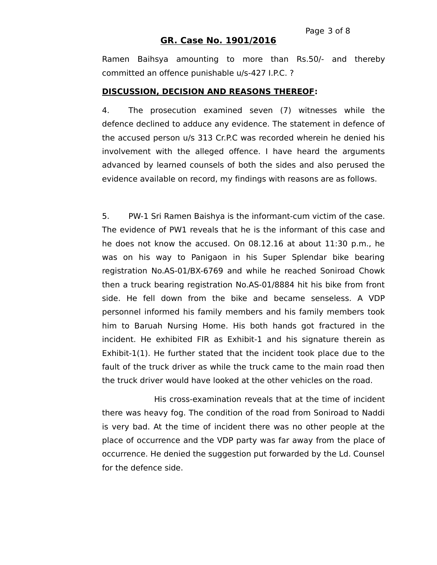Ramen Baihsya amounting to more than Rs.50/- and thereby committed an offence punishable u/s-427 I.P.C. ?

#### **DISCUSSION, DECISION AND REASONS THEREOF:**

4. The prosecution examined seven (7) witnesses while the defence declined to adduce any evidence. The statement in defence of the accused person u/s 313 Cr.P.C was recorded wherein he denied his involvement with the alleged offence. I have heard the arguments advanced by learned counsels of both the sides and also perused the evidence available on record, my findings with reasons are as follows.

5. PW-1 Sri Ramen Baishya is the informant-cum victim of the case. The evidence of PW1 reveals that he is the informant of this case and he does not know the accused. On 08.12.16 at about 11:30 p.m., he was on his way to Panigaon in his Super Splendar bike bearing registration No.AS-01/BX-6769 and while he reached Soniroad Chowk then a truck bearing registration No.AS-01/8884 hit his bike from front side. He fell down from the bike and became senseless. A VDP personnel informed his family members and his family members took him to Baruah Nursing Home. His both hands got fractured in the incident. He exhibited FIR as Exhibit-1 and his signature therein as Exhibit-1(1). He further stated that the incident took place due to the fault of the truck driver as while the truck came to the main road then the truck driver would have looked at the other vehicles on the road.

His cross-examination reveals that at the time of incident there was heavy fog. The condition of the road from Soniroad to Naddi is very bad. At the time of incident there was no other people at the place of occurrence and the VDP party was far away from the place of occurrence. He denied the suggestion put forwarded by the Ld. Counsel for the defence side.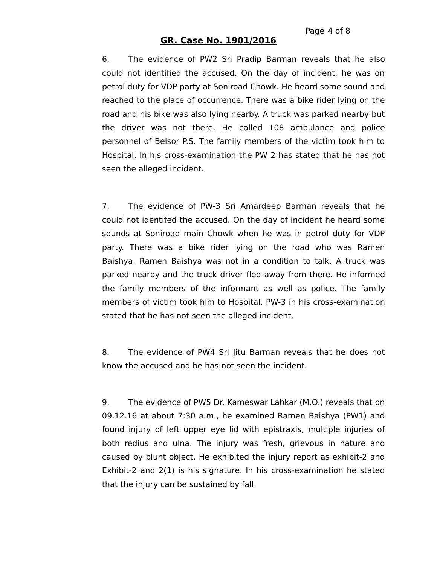6. The evidence of PW2 Sri Pradip Barman reveals that he also could not identified the accused. On the day of incident, he was on petrol duty for VDP party at Soniroad Chowk. He heard some sound and reached to the place of occurrence. There was a bike rider lying on the road and his bike was also lying nearby. A truck was parked nearby but the driver was not there. He called 108 ambulance and police personnel of Belsor P.S. The family members of the victim took him to Hospital. In his cross-examination the PW 2 has stated that he has not seen the alleged incident.

7. The evidence of PW-3 Sri Amardeep Barman reveals that he could not identifed the accused. On the day of incident he heard some sounds at Soniroad main Chowk when he was in petrol duty for VDP party. There was a bike rider lying on the road who was Ramen Baishya. Ramen Baishya was not in a condition to talk. A truck was parked nearby and the truck driver fled away from there. He informed the family members of the informant as well as police. The family members of victim took him to Hospital. PW-3 in his cross-examination stated that he has not seen the alleged incident.

8. The evidence of PW4 Sri Jitu Barman reveals that he does not know the accused and he has not seen the incident.

9. The evidence of PW5 Dr. Kameswar Lahkar (M.O.) reveals that on 09.12.16 at about 7:30 a.m., he examined Ramen Baishya (PW1) and found injury of left upper eye lid with epistraxis, multiple injuries of both redius and ulna. The injury was fresh, grievous in nature and caused by blunt object. He exhibited the injury report as exhibit-2 and Exhibit-2 and 2(1) is his signature. In his cross-examination he stated that the injury can be sustained by fall.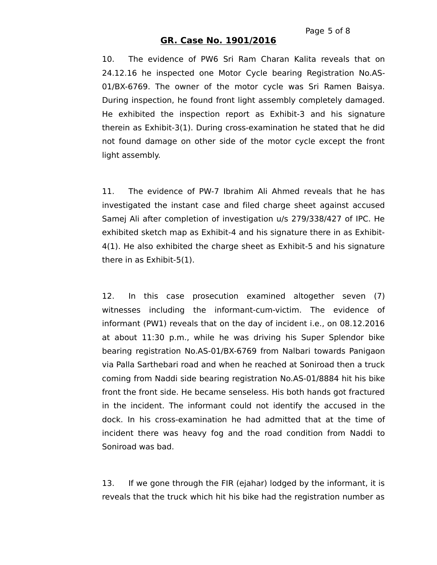10. The evidence of PW6 Sri Ram Charan Kalita reveals that on 24.12.16 he inspected one Motor Cycle bearing Registration No.AS-01/BX-6769. The owner of the motor cycle was Sri Ramen Baisya. During inspection, he found front light assembly completely damaged. He exhibited the inspection report as Exhibit-3 and his signature therein as Exhibit-3(1). During cross-examination he stated that he did not found damage on other side of the motor cycle except the front light assembly.

11. The evidence of PW-7 Ibrahim Ali Ahmed reveals that he has investigated the instant case and filed charge sheet against accused Samej Ali after completion of investigation u/s 279/338/427 of IPC. He exhibited sketch map as Exhibit-4 and his signature there in as Exhibit-4(1). He also exhibited the charge sheet as Exhibit-5 and his signature there in as Exhibit-5(1).

12. In this case prosecution examined altogether seven (7) witnesses including the informant-cum-victim. The evidence of informant (PW1) reveals that on the day of incident i.e., on 08.12.2016 at about 11:30 p.m., while he was driving his Super Splendor bike bearing registration No.AS-01/BX-6769 from Nalbari towards Panigaon via Palla Sarthebari road and when he reached at Soniroad then a truck coming from Naddi side bearing registration No.AS-01/8884 hit his bike front the front side. He became senseless. His both hands got fractured in the incident. The informant could not identify the accused in the dock. In his cross-examination he had admitted that at the time of incident there was heavy fog and the road condition from Naddi to Soniroad was bad.

13. If we gone through the FIR (ejahar) lodged by the informant, it is reveals that the truck which hit his bike had the registration number as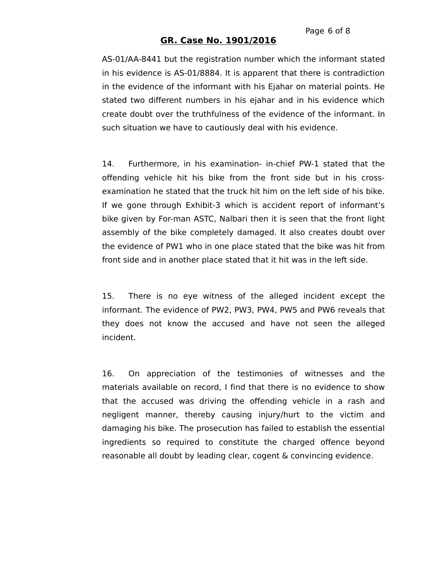AS-01/AA-8441 but the registration number which the informant stated in his evidence is AS-01/8884. It is apparent that there is contradiction in the evidence of the informant with his Ejahar on material points. He stated two different numbers in his ejahar and in his evidence which create doubt over the truthfulness of the evidence of the informant. In such situation we have to cautiously deal with his evidence.

14. Furthermore, in his examination- in-chief PW-1 stated that the offending vehicle hit his bike from the front side but in his crossexamination he stated that the truck hit him on the left side of his bike. If we gone through Exhibit-3 which is accident report of informant's bike given by For-man ASTC, Nalbari then it is seen that the front light assembly of the bike completely damaged. It also creates doubt over the evidence of PW1 who in one place stated that the bike was hit from front side and in another place stated that it hit was in the left side.

15. There is no eye witness of the alleged incident except the informant. The evidence of PW2, PW3, PW4, PW5 and PW6 reveals that they does not know the accused and have not seen the alleged incident.

16. On appreciation of the testimonies of witnesses and the materials available on record, I find that there is no evidence to show that the accused was driving the offending vehicle in a rash and negligent manner, thereby causing injury/hurt to the victim and damaging his bike. The prosecution has failed to establish the essential ingredients so required to constitute the charged offence beyond reasonable all doubt by leading clear, cogent & convincing evidence.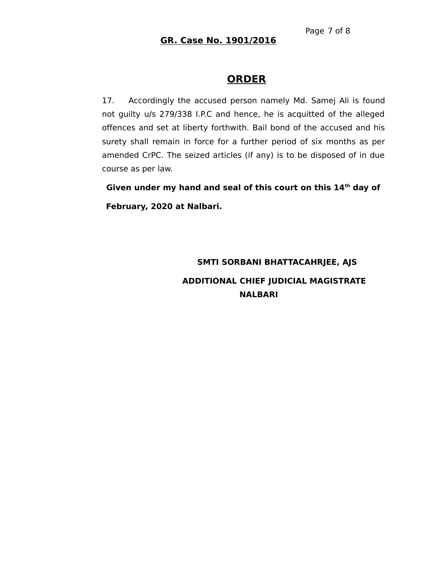## **ORDER**

17. Accordingly the accused person namely Md. Samej Ali is found not guilty u/s 279/338 I.P.C and hence, he is acquitted of the alleged offences and set at liberty forthwith. Bail bond of the accused and his surety shall remain in force for a further period of six months as per amended CrPC. The seized articles (if any) is to be disposed of in due course as per law.

 **Given under my hand and seal of this court on this 14th day of February, 2020 at Nalbari.**

# **SMTI SORBANI BHATTACAHRJEE, AJS ADDITIONAL CHIEF JUDICIAL MAGISTRATE NALBARI**